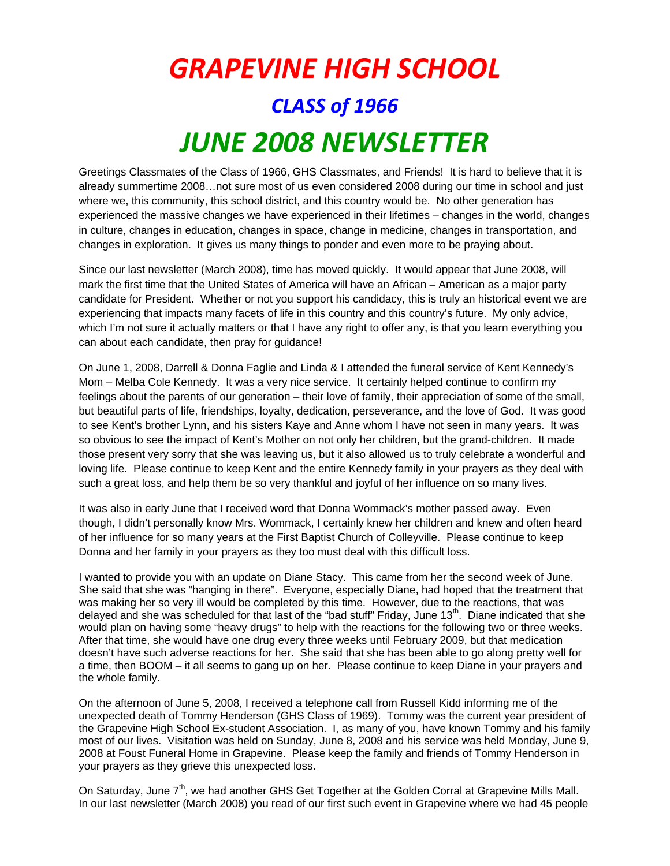## *GRAPEVINE HIGH SCHOOL CLASS of 1966 JUNE 2008 NEWSLETTER*

Greetings Classmates of the Class of 1966, GHS Classmates, and Friends! It is hard to believe that it is already summertime 2008…not sure most of us even considered 2008 during our time in school and just where we, this community, this school district, and this country would be. No other generation has experienced the massive changes we have experienced in their lifetimes – changes in the world, changes in culture, changes in education, changes in space, change in medicine, changes in transportation, and changes in exploration. It gives us many things to ponder and even more to be praying about.

Since our last newsletter (March 2008), time has moved quickly. It would appear that June 2008, will mark the first time that the United States of America will have an African – American as a major party candidate for President. Whether or not you support his candidacy, this is truly an historical event we are experiencing that impacts many facets of life in this country and this country's future. My only advice, which I'm not sure it actually matters or that I have any right to offer any, is that you learn everything you can about each candidate, then pray for guidance!

On June 1, 2008, Darrell & Donna Faglie and Linda & I attended the funeral service of Kent Kennedy's Mom – Melba Cole Kennedy. It was a very nice service. It certainly helped continue to confirm my feelings about the parents of our generation – their love of family, their appreciation of some of the small, but beautiful parts of life, friendships, loyalty, dedication, perseverance, and the love of God. It was good to see Kent's brother Lynn, and his sisters Kaye and Anne whom I have not seen in many years. It was so obvious to see the impact of Kent's Mother on not only her children, but the grand-children. It made those present very sorry that she was leaving us, but it also allowed us to truly celebrate a wonderful and loving life. Please continue to keep Kent and the entire Kennedy family in your prayers as they deal with such a great loss, and help them be so very thankful and joyful of her influence on so many lives.

It was also in early June that I received word that Donna Wommack's mother passed away. Even though, I didn't personally know Mrs. Wommack, I certainly knew her children and knew and often heard of her influence for so many years at the First Baptist Church of Colleyville. Please continue to keep Donna and her family in your prayers as they too must deal with this difficult loss.

I wanted to provide you with an update on Diane Stacy. This came from her the second week of June. She said that she was "hanging in there". Everyone, especially Diane, had hoped that the treatment that was making her so very ill would be completed by this time. However, due to the reactions, that was delayed and she was scheduled for that last of the "bad stuff" Friday, June 13<sup>th</sup>. Diane indicated that she would plan on having some "heavy drugs" to help with the reactions for the following two or three weeks. After that time, she would have one drug every three weeks until February 2009, but that medication doesn't have such adverse reactions for her. She said that she has been able to go along pretty well for a time, then BOOM – it all seems to gang up on her. Please continue to keep Diane in your prayers and the whole family.

On the afternoon of June 5, 2008, I received a telephone call from Russell Kidd informing me of the unexpected death of Tommy Henderson (GHS Class of 1969). Tommy was the current year president of the Grapevine High School Ex-student Association. I, as many of you, have known Tommy and his family most of our lives. Visitation was held on Sunday, June 8, 2008 and his service was held Monday, June 9, 2008 at Foust Funeral Home in Grapevine. Please keep the family and friends of Tommy Henderson in your prayers as they grieve this unexpected loss.

On Saturday, June 7<sup>th</sup>, we had another GHS Get Together at the Golden Corral at Grapevine Mills Mall. In our last newsletter (March 2008) you read of our first such event in Grapevine where we had 45 people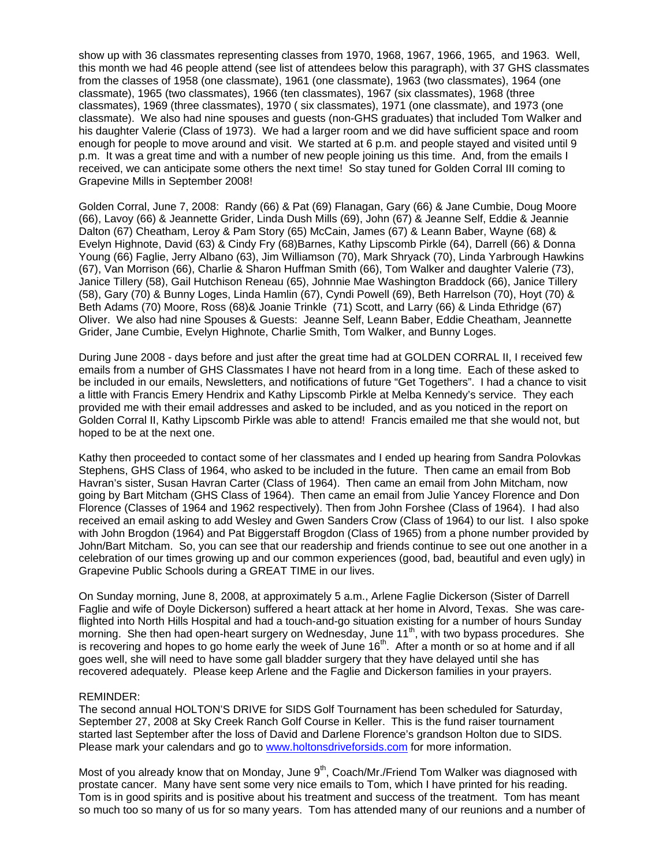show up with 36 classmates representing classes from 1970, 1968, 1967, 1966, 1965, and 1963. Well, this month we had 46 people attend (see list of attendees below this paragraph), with 37 GHS classmates from the classes of 1958 (one classmate), 1961 (one classmate), 1963 (two classmates), 1964 (one classmate), 1965 (two classmates), 1966 (ten classmates), 1967 (six classmates), 1968 (three classmates), 1969 (three classmates), 1970 ( six classmates), 1971 (one classmate), and 1973 (one classmate). We also had nine spouses and guests (non-GHS graduates) that included Tom Walker and his daughter Valerie (Class of 1973). We had a larger room and we did have sufficient space and room enough for people to move around and visit. We started at 6 p.m. and people stayed and visited until 9 p.m. It was a great time and with a number of new people joining us this time. And, from the emails I received, we can anticipate some others the next time! So stay tuned for Golden Corral III coming to Grapevine Mills in September 2008!

Golden Corral, June 7, 2008: Randy (66) & Pat (69) Flanagan, Gary (66) & Jane Cumbie, Doug Moore (66), Lavoy (66) & Jeannette Grider, Linda Dush Mills (69), John (67) & Jeanne Self, Eddie & Jeannie Dalton (67) Cheatham, Leroy & Pam Story (65) McCain, James (67) & Leann Baber, Wayne (68) & Evelyn Highnote, David (63) & Cindy Fry (68)Barnes, Kathy Lipscomb Pirkle (64), Darrell (66) & Donna Young (66) Faglie, Jerry Albano (63), Jim Williamson (70), Mark Shryack (70), Linda Yarbrough Hawkins (67), Van Morrison (66), Charlie & Sharon Huffman Smith (66), Tom Walker and daughter Valerie (73), Janice Tillery (58), Gail Hutchison Reneau (65), Johnnie Mae Washington Braddock (66), Janice Tillery (58), Gary (70) & Bunny Loges, Linda Hamlin (67), Cyndi Powell (69), Beth Harrelson (70), Hoyt (70) & Beth Adams (70) Moore, Ross (68)& Joanie Trinkle (71) Scott, and Larry (66) & Linda Ethridge (67) Oliver. We also had nine Spouses & Guests: Jeanne Self, Leann Baber, Eddie Cheatham, Jeannette Grider, Jane Cumbie, Evelyn Highnote, Charlie Smith, Tom Walker, and Bunny Loges.

During June 2008 - days before and just after the great time had at GOLDEN CORRAL II, I received few emails from a number of GHS Classmates I have not heard from in a long time. Each of these asked to be included in our emails, Newsletters, and notifications of future "Get Togethers". I had a chance to visit a little with Francis Emery Hendrix and Kathy Lipscomb Pirkle at Melba Kennedy's service. They each provided me with their email addresses and asked to be included, and as you noticed in the report on Golden Corral II, Kathy Lipscomb Pirkle was able to attend! Francis emailed me that she would not, but hoped to be at the next one.

Kathy then proceeded to contact some of her classmates and I ended up hearing from Sandra Polovkas Stephens, GHS Class of 1964, who asked to be included in the future. Then came an email from Bob Havran's sister, Susan Havran Carter (Class of 1964). Then came an email from John Mitcham, now going by Bart Mitcham (GHS Class of 1964). Then came an email from Julie Yancey Florence and Don Florence (Classes of 1964 and 1962 respectively). Then from John Forshee (Class of 1964). I had also received an email asking to add Wesley and Gwen Sanders Crow (Class of 1964) to our list. I also spoke with John Brogdon (1964) and Pat Biggerstaff Brogdon (Class of 1965) from a phone number provided by John/Bart Mitcham. So, you can see that our readership and friends continue to see out one another in a celebration of our times growing up and our common experiences (good, bad, beautiful and even ugly) in Grapevine Public Schools during a GREAT TIME in our lives.

On Sunday morning, June 8, 2008, at approximately 5 a.m., Arlene Faglie Dickerson (Sister of Darrell Faglie and wife of Doyle Dickerson) suffered a heart attack at her home in Alvord, Texas. She was careflighted into North Hills Hospital and had a touch-and-go situation existing for a number of hours Sunday morning. She then had open-heart surgery on Wednesday, June 11<sup>th</sup>, with two bypass procedures. She is recovering and hopes to go home early the week of June 16<sup>th</sup>. After a month or so at home and if all goes well, she will need to have some gall bladder surgery that they have delayed until she has recovered adequately. Please keep Arlene and the Faglie and Dickerson families in your prayers.

## REMINDER:

The second annual HOLTON'S DRIVE for SIDS Golf Tournament has been scheduled for Saturday, September 27, 2008 at Sky Creek Ranch Golf Course in Keller. This is the fund raiser tournament started last September after the loss of David and Darlene Florence's grandson Holton due to SIDS. Please mark your calendars and go to www.holtonsdriveforsids.com for more information.

Most of you already know that on Monday, June  $9<sup>th</sup>$ , Coach/Mr./Friend Tom Walker was diagnosed with prostate cancer. Many have sent some very nice emails to Tom, which I have printed for his reading. Tom is in good spirits and is positive about his treatment and success of the treatment. Tom has meant so much too so many of us for so many years. Tom has attended many of our reunions and a number of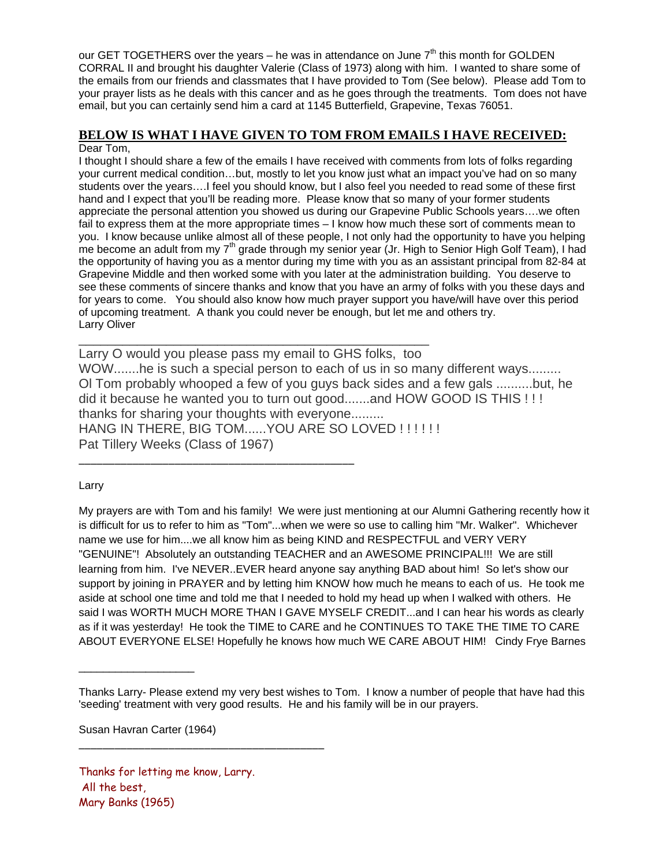our GET TOGETHERS over the years – he was in attendance on June  $7<sup>th</sup>$  this month for GOLDEN CORRAL II and brought his daughter Valerie (Class of 1973) along with him. I wanted to share some of the emails from our friends and classmates that I have provided to Tom (See below). Please add Tom to your prayer lists as he deals with this cancer and as he goes through the treatments. Tom does not have email, but you can certainly send him a card at 1145 Butterfield, Grapevine, Texas 76051.

## **BELOW IS WHAT I HAVE GIVEN TO TOM FROM EMAILS I HAVE RECEIVED:** Dear Tom,

I thought I should share a few of the emails I have received with comments from lots of folks regarding your current medical condition…but, mostly to let you know just what an impact you've had on so many students over the years….I feel you should know, but I also feel you needed to read some of these first hand and I expect that you'll be reading more. Please know that so many of your former students appreciate the personal attention you showed us during our Grapevine Public Schools years….we often fail to express them at the more appropriate times – I know how much these sort of comments mean to you. I know because unlike almost all of these people, I not only had the opportunity to have you helping me become an adult from my  $7<sup>th</sup>$  grade through my senior year (Jr. High to Senior High Golf Team), I had the opportunity of having you as a mentor during my time with you as an assistant principal from 82-84 at Grapevine Middle and then worked some with you later at the administration building. You deserve to see these comments of sincere thanks and know that you have an army of folks with you these days and for years to come. You should also know how much prayer support you have/will have over this period of upcoming treatment. A thank you could never be enough, but let me and others try. Larry Oliver

Larry O would you please pass my email to GHS folks, too WOW.......he is such a special person to each of us in so many different ways......... Ol Tom probably whooped a few of you guys back sides and a few gals ..........but, he did it because he wanted you to turn out good.......and HOW GOOD IS THIS ! ! ! thanks for sharing your thoughts with everyone......... HANG IN THERE, BIG TOM...... YOU ARE SO LOVED !!!!!!! Pat Tillery Weeks (Class of 1967)

\_\_\_\_\_\_\_\_\_\_\_\_\_\_\_\_\_\_\_\_\_\_\_\_\_\_\_\_\_\_\_\_\_\_\_\_\_\_\_\_\_\_\_\_\_\_\_\_

\_\_\_\_\_\_\_\_\_\_\_\_\_\_\_\_\_\_\_\_\_\_\_\_\_\_\_\_\_\_\_\_\_\_\_\_\_\_\_\_\_\_\_\_\_\_

Larry

My prayers are with Tom and his family! We were just mentioning at our Alumni Gathering recently how it is difficult for us to refer to him as "Tom"...when we were so use to calling him "Mr. Walker". Whichever name we use for him....we all know him as being KIND and RESPECTFUL and VERY VERY "GENUINE"! Absolutely an outstanding TEACHER and an AWESOME PRINCIPAL!!! We are still learning from him. I've NEVER..EVER heard anyone say anything BAD about him! So let's show our support by joining in PRAYER and by letting him KNOW how much he means to each of us. He took me aside at school one time and told me that I needed to hold my head up when I walked with others. He said I was WORTH MUCH MORE THAN I GAVE MYSELF CREDIT...and I can hear his words as clearly as if it was yesterday! He took the TIME to CARE and he CONTINUES TO TAKE THE TIME TO CARE ABOUT EVERYONE ELSE! Hopefully he knows how much WE CARE ABOUT HIM! Cindy Frye Barnes

Susan Havran Carter (1964)

\_\_\_\_\_\_\_\_\_\_\_\_\_\_\_\_\_\_\_

Thanks for letting me know, Larry. All the best, Mary Banks (1965)

\_\_\_\_\_\_\_\_\_\_\_\_\_\_\_\_\_\_\_\_\_\_\_\_\_\_\_\_\_\_\_\_\_\_\_\_\_\_\_\_\_

Thanks Larry- Please extend my very best wishes to Tom. I know a number of people that have had this 'seeding' treatment with very good results. He and his family will be in our prayers.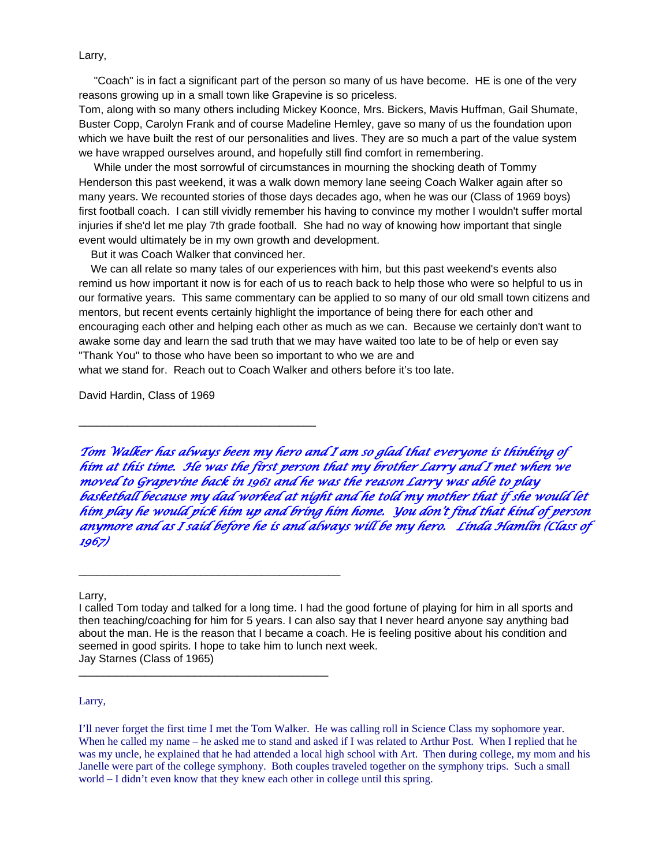Larry,

 "Coach" is in fact a significant part of the person so many of us have become. HE is one of the very reasons growing up in a small town like Grapevine is so priceless.

Tom, along with so many others including Mickey Koonce, Mrs. Bickers, Mavis Huffman, Gail Shumate, Buster Copp, Carolyn Frank and of course Madeline Hemley, gave so many of us the foundation upon which we have built the rest of our personalities and lives. They are so much a part of the value system we have wrapped ourselves around, and hopefully still find comfort in remembering.

 While under the most sorrowful of circumstances in mourning the shocking death of Tommy Henderson this past weekend, it was a walk down memory lane seeing Coach Walker again after so many years. We recounted stories of those days decades ago, when he was our (Class of 1969 boys) first football coach. I can still vividly remember his having to convince my mother I wouldn't suffer mortal injuries if she'd let me play 7th grade football. She had no way of knowing how important that single event would ultimately be in my own growth and development.

But it was Coach Walker that convinced her.

\_\_\_\_\_\_\_\_\_\_\_\_\_\_\_\_\_\_\_\_\_\_\_\_\_\_\_\_\_\_\_\_\_\_\_\_\_\_\_

\_\_\_\_\_\_\_\_\_\_\_\_\_\_\_\_\_\_\_\_\_\_\_\_\_\_\_\_\_\_\_\_\_\_\_\_\_\_\_\_\_\_\_

\_\_\_\_\_\_\_\_\_\_\_\_\_\_\_\_\_\_\_\_\_\_\_\_\_\_\_\_\_\_\_\_\_\_\_\_\_\_\_\_\_

 We can all relate so many tales of our experiences with him, but this past weekend's events also remind us how important it now is for each of us to reach back to help those who were so helpful to us in our formative years. This same commentary can be applied to so many of our old small town citizens and mentors, but recent events certainly highlight the importance of being there for each other and encouraging each other and helping each other as much as we can. Because we certainly don't want to awake some day and learn the sad truth that we may have waited too late to be of help or even say "Thank You" to those who have been so important to who we are and

what we stand for. Reach out to Coach Walker and others before it's too late.

David Hardin, Class of 1969

*Tom Walker has always been my hero and I am so glad that everyone is thinking of him at this time. He was the first person that my brother Larry and I met when we moved to Grapevine back in 1961 and he was the reason Larry was able to play basketball because my dad worked at night and he told my mother that if she would let him play he would pick him up and bring him home. You don't find that kind of person anymore and as I said before he is and always will be my hero. Linda Hamlin (Class of 1967)* 

Larry,

Larry,

I called Tom today and talked for a long time. I had the good fortune of playing for him in all sports and then teaching/coaching for him for 5 years. I can also say that I never heard anyone say anything bad about the man. He is the reason that I became a coach. He is feeling positive about his condition and seemed in good spirits. I hope to take him to lunch next week. Jay Starnes (Class of 1965)

I'll never forget the first time I met the Tom Walker. He was calling roll in Science Class my sophomore year. When he called my name – he asked me to stand and asked if I was related to Arthur Post. When I replied that he was my uncle, he explained that he had attended a local high school with Art. Then during college, my mom and his Janelle were part of the college symphony. Both couples traveled together on the symphony trips. Such a small world – I didn't even know that they knew each other in college until this spring.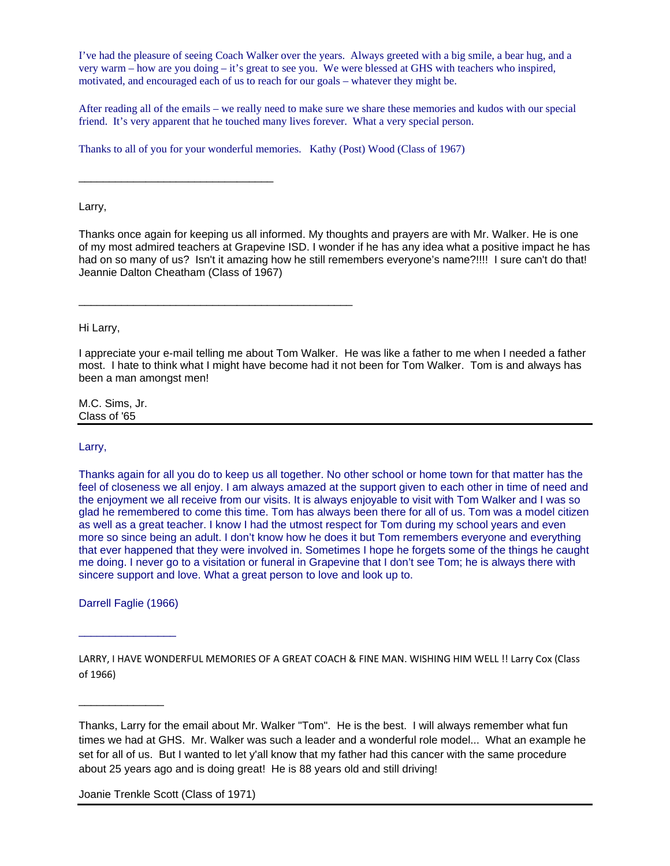I've had the pleasure of seeing Coach Walker over the years. Always greeted with a big smile, a bear hug, and a very warm – how are you doing – it's great to see you. We were blessed at GHS with teachers who inspired, motivated, and encouraged each of us to reach for our goals – whatever they might be.

After reading all of the emails – we really need to make sure we share these memories and kudos with our special friend. It's very apparent that he touched many lives forever. What a very special person.

Thanks to all of you for your wonderful memories. Kathy (Post) Wood (Class of 1967)

Larry,

\_\_\_\_\_\_\_\_\_\_\_\_\_\_\_\_\_\_\_\_\_\_\_\_\_\_\_\_\_\_\_\_

\_\_\_\_\_\_\_\_\_\_\_\_\_\_\_\_\_\_\_\_\_\_\_\_\_\_\_\_\_\_\_\_\_\_\_\_\_\_\_\_\_\_\_\_\_

Thanks once again for keeping us all informed. My thoughts and prayers are with Mr. Walker. He is one of my most admired teachers at Grapevine ISD. I wonder if he has any idea what a positive impact he has had on so many of us? Isn't it amazing how he still remembers everyone's name?!!!! I sure can't do that! Jeannie Dalton Cheatham (Class of 1967)

Hi Larry,

I appreciate your e-mail telling me about Tom Walker. He was like a father to me when I needed a father most. I hate to think what I might have become had it not been for Tom Walker. Tom is and always has been a man amongst men!

M.C. Sims, Jr. Class of '65

Larry,

Thanks again for all you do to keep us all together. No other school or home town for that matter has the feel of closeness we all enjoy. I am always amazed at the support given to each other in time of need and the enjoyment we all receive from our visits. It is always enjoyable to visit with Tom Walker and I was so glad he remembered to come this time. Tom has always been there for all of us. Tom was a model citizen as well as a great teacher. I know I had the utmost respect for Tom during my school years and even more so since being an adult. I don't know how he does it but Tom remembers everyone and everything that ever happened that they were involved in. Sometimes I hope he forgets some of the things he caught me doing. I never go to a visitation or funeral in Grapevine that I don't see Tom; he is always there with sincere support and love. What a great person to love and look up to.

Darrell Faglie (1966)

 $\overline{\phantom{a}}$  , which is a set of the set of the set of the set of the set of the set of the set of the set of the set of the set of the set of the set of the set of the set of the set of the set of the set of the set of th

\_\_\_\_\_\_\_\_\_\_\_\_\_\_

LARRY, I HAVE WONDERFUL MEMORIES OF A GREAT COACH & FINE MAN. WISHING HIM WELL !! Larry Cox (Class of 1966)

Thanks, Larry for the email about Mr. Walker "Tom". He is the best. I will always remember what fun times we had at GHS. Mr. Walker was such a leader and a wonderful role model... What an example he set for all of us. But I wanted to let y'all know that my father had this cancer with the same procedure about 25 years ago and is doing great! He is 88 years old and still driving!

Joanie Trenkle Scott (Class of 1971)